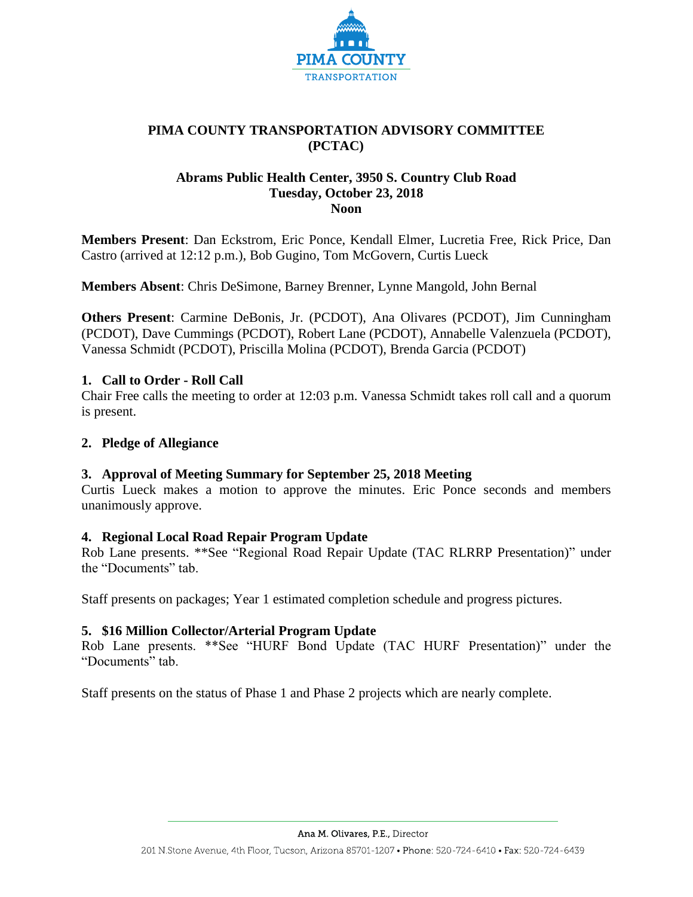

# **PIMA COUNTY TRANSPORTATION ADVISORY COMMITTEE (PCTAC)**

## **Abrams Public Health Center, 3950 S. Country Club Road Tuesday, October 23, 2018 Noon**

**Members Present**: Dan Eckstrom, Eric Ponce, Kendall Elmer, Lucretia Free, Rick Price, Dan Castro (arrived at 12:12 p.m.), Bob Gugino, Tom McGovern, Curtis Lueck

**Members Absent**: Chris DeSimone, Barney Brenner, Lynne Mangold, John Bernal

**Others Present**: Carmine DeBonis, Jr. (PCDOT), Ana Olivares (PCDOT), Jim Cunningham (PCDOT), Dave Cummings (PCDOT), Robert Lane (PCDOT), Annabelle Valenzuela (PCDOT), Vanessa Schmidt (PCDOT), Priscilla Molina (PCDOT), Brenda Garcia (PCDOT)

## **1. Call to Order - Roll Call**

Chair Free calls the meeting to order at 12:03 p.m. Vanessa Schmidt takes roll call and a quorum is present.

### **2. Pledge of Allegiance**

### **3. Approval of Meeting Summary for September 25, 2018 Meeting**

Curtis Lueck makes a motion to approve the minutes. Eric Ponce seconds and members unanimously approve.

### **4. Regional Local Road Repair Program Update**

Rob Lane presents. \*\*See "Regional Road Repair Update (TAC RLRRP Presentation)" under the "Documents" tab.

Staff presents on packages; Year 1 estimated completion schedule and progress pictures.

### **5. \$16 Million Collector/Arterial Program Update**

Rob Lane presents. \*\*See "HURF Bond Update (TAC HURF Presentation)" under the "Documents" tab.

Staff presents on the status of Phase 1 and Phase 2 projects which are nearly complete.